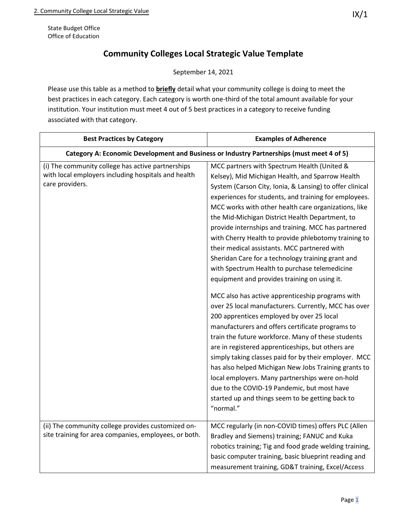State Budget Office Office of Education

## **Community Colleges Local Strategic Value Template**

September 14, 2021

Please use this table as a method to **briefly** detail what your community college is doing to meet the best practices in each category. Each category is worth one-third of the total amount available for your institution. Your institution must meet 4 out of 5 best practices in a category to receive funding associated with that category.

| <b>Best Practices by Category</b>                                                                                           | <b>Examples of Adherence</b>                                                                                                                                                                                                                                                                                                                                                                                                                                                                                                                                                                                                                                                                                                                                                                                                                                                                                            |
|-----------------------------------------------------------------------------------------------------------------------------|-------------------------------------------------------------------------------------------------------------------------------------------------------------------------------------------------------------------------------------------------------------------------------------------------------------------------------------------------------------------------------------------------------------------------------------------------------------------------------------------------------------------------------------------------------------------------------------------------------------------------------------------------------------------------------------------------------------------------------------------------------------------------------------------------------------------------------------------------------------------------------------------------------------------------|
| Category A: Economic Development and Business or Industry Partnerships (must meet 4 of 5)                                   |                                                                                                                                                                                                                                                                                                                                                                                                                                                                                                                                                                                                                                                                                                                                                                                                                                                                                                                         |
| (i) The community college has active partnerships<br>with local employers including hospitals and health<br>care providers. | MCC partners with Spectrum Health (United &<br>Kelsey), Mid Michigan Health, and Sparrow Health<br>System (Carson City, Ionia, & Lansing) to offer clinical<br>experiences for students, and training for employees.<br>MCC works with other health care organizations, like<br>the Mid-Michigan District Health Department, to<br>provide internships and training. MCC has partnered<br>with Cherry Health to provide phlebotomy training to<br>their medical assistants. MCC partnered with<br>Sheridan Care for a technology training grant and<br>with Spectrum Health to purchase telemedicine<br>equipment and provides training on using it.<br>MCC also has active apprenticeship programs with<br>over 25 local manufacturers. Currently, MCC has over<br>200 apprentices employed by over 25 local<br>manufacturers and offers certificate programs to<br>train the future workforce. Many of these students |
|                                                                                                                             | are in registered apprenticeships, but others are<br>simply taking classes paid for by their employer. MCC<br>has also helped Michigan New Jobs Training grants to<br>local employers. Many partnerships were on-hold<br>due to the COVID-19 Pandemic, but most have<br>started up and things seem to be getting back to<br>"normal."                                                                                                                                                                                                                                                                                                                                                                                                                                                                                                                                                                                   |
| (ii) The community college provides customized on-<br>site training for area companies, employees, or both.                 | MCC regularly (in non-COVID times) offers PLC (Allen<br>Bradley and Siemens) training; FANUC and Kuka<br>robotics training; Tig and food grade welding training,<br>basic computer training, basic blueprint reading and<br>measurement training, GD&T training, Excel/Access                                                                                                                                                                                                                                                                                                                                                                                                                                                                                                                                                                                                                                           |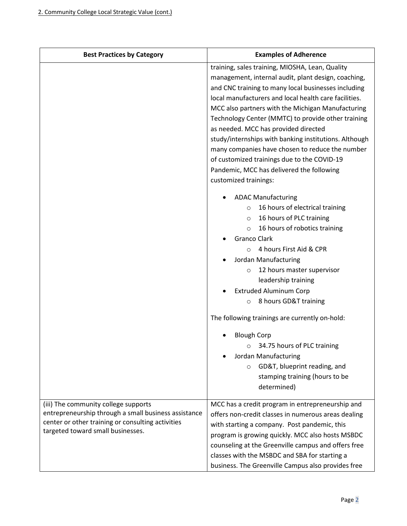| <b>Best Practices by Category</b>                                                                                                                                                      | <b>Examples of Adherence</b>                                                                                                                                                                                                                                                                                                                                                                                                                                                                                                                                                                               |
|----------------------------------------------------------------------------------------------------------------------------------------------------------------------------------------|------------------------------------------------------------------------------------------------------------------------------------------------------------------------------------------------------------------------------------------------------------------------------------------------------------------------------------------------------------------------------------------------------------------------------------------------------------------------------------------------------------------------------------------------------------------------------------------------------------|
|                                                                                                                                                                                        | training, sales training, MIOSHA, Lean, Quality<br>management, internal audit, plant design, coaching,<br>and CNC training to many local businesses including<br>local manufacturers and local health care facilities.<br>MCC also partners with the Michigan Manufacturing<br>Technology Center (MMTC) to provide other training<br>as needed. MCC has provided directed<br>study/internships with banking institutions. Although<br>many companies have chosen to reduce the number<br>of customized trainings due to the COVID-19<br>Pandemic, MCC has delivered the following<br>customized trainings: |
|                                                                                                                                                                                        | <b>ADAC Manufacturing</b><br>16 hours of electrical training<br>$\circ$<br>16 hours of PLC training<br>$\circ$<br>16 hours of robotics training<br>$\circ$<br><b>Granco Clark</b><br>4 hours First Aid & CPR<br>$\Omega$<br>Jordan Manufacturing<br>12 hours master supervisor<br>$\circ$<br>leadership training<br><b>Extruded Aluminum Corp</b><br>8 hours GD&T training<br>O<br>The following trainings are currently on-hold:<br><b>Blough Corp</b>                                                                                                                                                    |
|                                                                                                                                                                                        | 34.75 hours of PLC training<br>Jordan Manufacturing<br>GD&T, blueprint reading, and<br>$\circ$<br>stamping training (hours to be<br>determined)                                                                                                                                                                                                                                                                                                                                                                                                                                                            |
| (iii) The community college supports<br>entrepreneurship through a small business assistance<br>center or other training or consulting activities<br>targeted toward small businesses. | MCC has a credit program in entrepreneurship and<br>offers non-credit classes in numerous areas dealing<br>with starting a company. Post pandemic, this<br>program is growing quickly. MCC also hosts MSBDC<br>counseling at the Greenville campus and offers free<br>classes with the MSBDC and SBA for starting a<br>business. The Greenville Campus also provides free                                                                                                                                                                                                                                  |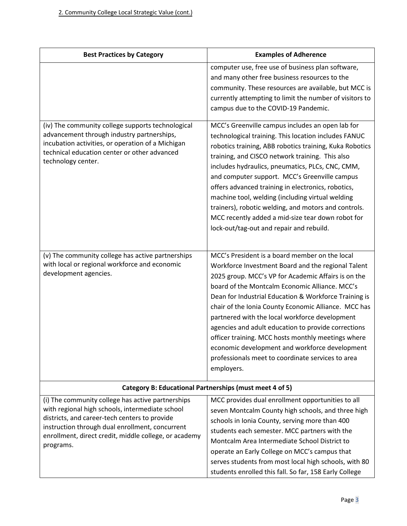enrollment, direct credit, middle college, or academy

programs.

| <b>Best Practices by Category</b>                                                                                                                    | <b>Examples of Adherence</b>                                                                                    |
|------------------------------------------------------------------------------------------------------------------------------------------------------|-----------------------------------------------------------------------------------------------------------------|
|                                                                                                                                                      | computer use, free use of business plan software,                                                               |
|                                                                                                                                                      | and many other free business resources to the                                                                   |
|                                                                                                                                                      | community. These resources are available, but MCC is<br>currently attempting to limit the number of visitors to |
|                                                                                                                                                      | campus due to the COVID-19 Pandemic.                                                                            |
|                                                                                                                                                      |                                                                                                                 |
| (iv) The community college supports technological<br>advancement through industry partnerships,<br>incubation activities, or operation of a Michigan | MCC's Greenville campus includes an open lab for<br>technological training. This location includes FANUC        |
| technical education center or other advanced<br>technology center.                                                                                   | robotics training, ABB robotics training, Kuka Robotics<br>training, and CISCO network training. This also      |
|                                                                                                                                                      | includes hydraulics, pneumatics, PLCs, CNC, CMM,<br>and computer support. MCC's Greenville campus               |
|                                                                                                                                                      | offers advanced training in electronics, robotics,                                                              |
|                                                                                                                                                      | machine tool, welding (including virtual welding                                                                |
|                                                                                                                                                      | trainers), robotic welding, and motors and controls.                                                            |
|                                                                                                                                                      | MCC recently added a mid-size tear down robot for<br>lock-out/tag-out and repair and rebuild.                   |
|                                                                                                                                                      |                                                                                                                 |
|                                                                                                                                                      |                                                                                                                 |
| (v) The community college has active partnerships<br>with local or regional workforce and economic                                                   | MCC's President is a board member on the local                                                                  |
| development agencies.                                                                                                                                | Workforce Investment Board and the regional Talent                                                              |
|                                                                                                                                                      | 2025 group. MCC's VP for Academic Affairs is on the<br>board of the Montcalm Economic Alliance. MCC's           |
|                                                                                                                                                      | Dean for Industrial Education & Workforce Training is                                                           |
|                                                                                                                                                      | chair of the Ionia County Economic Alliance. MCC has                                                            |
|                                                                                                                                                      | partnered with the local workforce development                                                                  |
|                                                                                                                                                      | agencies and adult education to provide corrections                                                             |
|                                                                                                                                                      | officer training. MCC hosts monthly meetings where                                                              |
|                                                                                                                                                      | economic development and workforce development                                                                  |
|                                                                                                                                                      | professionals meet to coordinate services to area                                                               |
|                                                                                                                                                      | employers.                                                                                                      |
|                                                                                                                                                      | Category B: Educational Partnerships (must meet 4 of 5)                                                         |
| (i) The community college has active partnerships                                                                                                    | MCC provides dual enrollment opportunities to all                                                               |
| with regional high schools, intermediate school                                                                                                      | seven Montcalm County high schools, and three high                                                              |
| districts, and career-tech centers to provide<br>instruction through dual enrollment, concurrent                                                     | schools in Ionia County, serving more than 400                                                                  |
|                                                                                                                                                      | students each semester. MCC partners with the                                                                   |

Montcalm Area Intermediate School District to operate an Early College on MCC's campus that

serves students from most local high schools, with 80 students enrolled this fall. So far, 158 Early College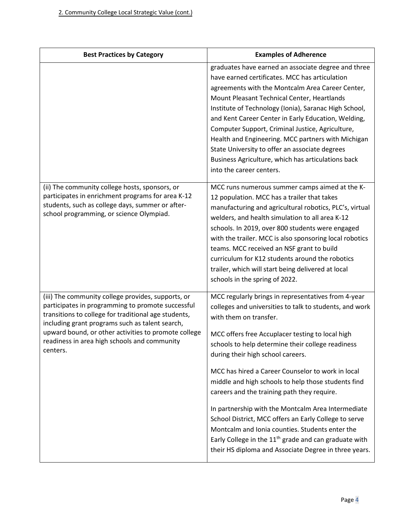| <b>Best Practices by Category</b>                                                                                                                                                                                                                                                                                                      | <b>Examples of Adherence</b>                                                                                                                                                                                                                                                                                                                                                                                                                                                                                                                                                                                                                                                                                                            |
|----------------------------------------------------------------------------------------------------------------------------------------------------------------------------------------------------------------------------------------------------------------------------------------------------------------------------------------|-----------------------------------------------------------------------------------------------------------------------------------------------------------------------------------------------------------------------------------------------------------------------------------------------------------------------------------------------------------------------------------------------------------------------------------------------------------------------------------------------------------------------------------------------------------------------------------------------------------------------------------------------------------------------------------------------------------------------------------------|
|                                                                                                                                                                                                                                                                                                                                        | graduates have earned an associate degree and three<br>have earned certificates. MCC has articulation<br>agreements with the Montcalm Area Career Center,<br>Mount Pleasant Technical Center, Heartlands<br>Institute of Technology (Ionia), Saranac High School,<br>and Kent Career Center in Early Education, Welding,<br>Computer Support, Criminal Justice, Agriculture,<br>Health and Engineering. MCC partners with Michigan<br>State University to offer an associate degrees<br>Business Agriculture, which has articulations back<br>into the career centers.                                                                                                                                                                  |
| (ii) The community college hosts, sponsors, or<br>participates in enrichment programs for area K-12<br>students, such as college days, summer or after-<br>school programming, or science Olympiad.                                                                                                                                    | MCC runs numerous summer camps aimed at the K-<br>12 population. MCC has a trailer that takes<br>manufacturing and agricultural robotics, PLC's, virtual<br>welders, and health simulation to all area K-12<br>schools. In 2019, over 800 students were engaged<br>with the trailer. MCC is also sponsoring local robotics<br>teams. MCC received an NSF grant to build<br>curriculum for K12 students around the robotics<br>trailer, which will start being delivered at local<br>schools in the spring of 2022.                                                                                                                                                                                                                      |
| (iii) The community college provides, supports, or<br>participates in programming to promote successful<br>transitions to college for traditional age students,<br>including grant programs such as talent search,<br>upward bound, or other activities to promote college<br>readiness in area high schools and community<br>centers. | MCC regularly brings in representatives from 4-year<br>colleges and universities to talk to students, and work<br>with them on transfer.<br>MCC offers free Accuplacer testing to local high<br>schools to help determine their college readiness<br>during their high school careers.<br>MCC has hired a Career Counselor to work in local<br>middle and high schools to help those students find<br>careers and the training path they require.<br>In partnership with the Montcalm Area Intermediate<br>School District, MCC offers an Early College to serve<br>Montcalm and Ionia counties. Students enter the<br>Early College in the $11th$ grade and can graduate with<br>their HS diploma and Associate Degree in three years. |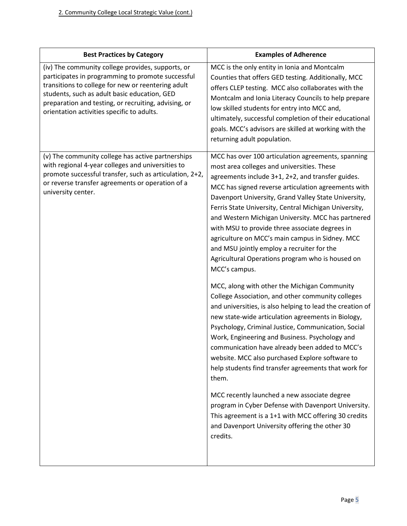| <b>Best Practices by Category</b>                                                                                                                                                                                                                                                                                  | <b>Examples of Adherence</b>                                                                                                                                                                                                                                                                                                                                                                                                                                                                                                                                                                                |
|--------------------------------------------------------------------------------------------------------------------------------------------------------------------------------------------------------------------------------------------------------------------------------------------------------------------|-------------------------------------------------------------------------------------------------------------------------------------------------------------------------------------------------------------------------------------------------------------------------------------------------------------------------------------------------------------------------------------------------------------------------------------------------------------------------------------------------------------------------------------------------------------------------------------------------------------|
| (iv) The community college provides, supports, or<br>participates in programming to promote successful<br>transitions to college for new or reentering adult<br>students, such as adult basic education, GED<br>preparation and testing, or recruiting, advising, or<br>orientation activities specific to adults. | MCC is the only entity in Ionia and Montcalm<br>Counties that offers GED testing. Additionally, MCC<br>offers CLEP testing. MCC also collaborates with the<br>Montcalm and Ionia Literacy Councils to help prepare<br>low skilled students for entry into MCC and,<br>ultimately, successful completion of their educational<br>goals. MCC's advisors are skilled at working with the<br>returning adult population.                                                                                                                                                                                        |
| (v) The community college has active partnerships<br>with regional 4-year colleges and universities to<br>promote successful transfer, such as articulation, 2+2,<br>or reverse transfer agreements or operation of a<br>university center.                                                                        | MCC has over 100 articulation agreements, spanning<br>most area colleges and universities. These<br>agreements include 3+1, 2+2, and transfer guides.<br>MCC has signed reverse articulation agreements with<br>Davenport University, Grand Valley State University,<br>Ferris State University, Central Michigan University,<br>and Western Michigan University. MCC has partnered<br>with MSU to provide three associate degrees in<br>agriculture on MCC's main campus in Sidney. MCC<br>and MSU jointly employ a recruiter for the<br>Agricultural Operations program who is housed on<br>MCC's campus. |
|                                                                                                                                                                                                                                                                                                                    | MCC, along with other the Michigan Community<br>College Association, and other community colleges<br>and universities, is also helping to lead the creation of<br>new state-wide articulation agreements in Biology,<br>Psychology, Criminal Justice, Communication, Social<br>Work, Engineering and Business. Psychology and<br>communication have already been added to MCC's<br>website. MCC also purchased Explore software to<br>help students find transfer agreements that work for<br>them.                                                                                                         |
|                                                                                                                                                                                                                                                                                                                    | MCC recently launched a new associate degree<br>program in Cyber Defense with Davenport University.<br>This agreement is a 1+1 with MCC offering 30 credits<br>and Davenport University offering the other 30<br>credits.                                                                                                                                                                                                                                                                                                                                                                                   |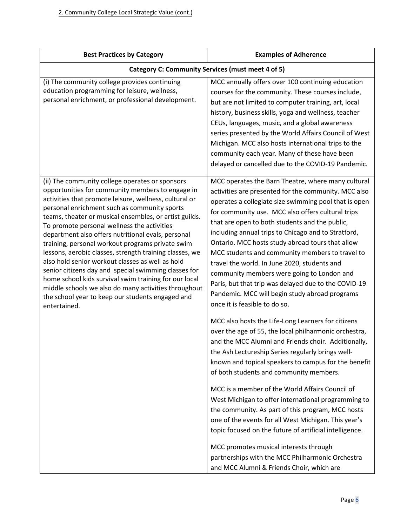| <b>Best Practices by Category</b>                                                                                                                                                                                                                                                                                                                                                                                                                                                                                                                                                                                                                                                                                                                                                            | <b>Examples of Adherence</b>                                                                                                                                                                                                                                                                                                                                                                                                                                                                                                                                                                                                                                                                               |  |
|----------------------------------------------------------------------------------------------------------------------------------------------------------------------------------------------------------------------------------------------------------------------------------------------------------------------------------------------------------------------------------------------------------------------------------------------------------------------------------------------------------------------------------------------------------------------------------------------------------------------------------------------------------------------------------------------------------------------------------------------------------------------------------------------|------------------------------------------------------------------------------------------------------------------------------------------------------------------------------------------------------------------------------------------------------------------------------------------------------------------------------------------------------------------------------------------------------------------------------------------------------------------------------------------------------------------------------------------------------------------------------------------------------------------------------------------------------------------------------------------------------------|--|
| Category C: Community Services (must meet 4 of 5)                                                                                                                                                                                                                                                                                                                                                                                                                                                                                                                                                                                                                                                                                                                                            |                                                                                                                                                                                                                                                                                                                                                                                                                                                                                                                                                                                                                                                                                                            |  |
| (i) The community college provides continuing<br>education programming for leisure, wellness,<br>personal enrichment, or professional development.                                                                                                                                                                                                                                                                                                                                                                                                                                                                                                                                                                                                                                           | MCC annually offers over 100 continuing education<br>courses for the community. These courses include,<br>but are not limited to computer training, art, local<br>history, business skills, yoga and wellness, teacher<br>CEUs, languages, music, and a global awareness<br>series presented by the World Affairs Council of West<br>Michigan. MCC also hosts international trips to the<br>community each year. Many of these have been<br>delayed or cancelled due to the COVID-19 Pandemic.                                                                                                                                                                                                             |  |
| (ii) The community college operates or sponsors<br>opportunities for community members to engage in<br>activities that promote leisure, wellness, cultural or<br>personal enrichment such as community sports<br>teams, theater or musical ensembles, or artist guilds.<br>To promote personal wellness the activities<br>department also offers nutritional evals, personal<br>training, personal workout programs private swim<br>lessons, aerobic classes, strength training classes, we<br>also hold senior workout classes as well as hold<br>senior citizens day and special swimming classes for<br>home school kids survival swim training for our local<br>middle schools we also do many activities throughout<br>the school year to keep our students engaged and<br>entertained. | MCC operates the Barn Theatre, where many cultural<br>activities are presented for the community. MCC also<br>operates a collegiate size swimming pool that is open<br>for community use. MCC also offers cultural trips<br>that are open to both students and the public,<br>including annual trips to Chicago and to Stratford,<br>Ontario. MCC hosts study abroad tours that allow<br>MCC students and community members to travel to<br>travel the world. In June 2020, students and<br>community members were going to London and<br>Paris, but that trip was delayed due to the COVID-19<br>Pandemic. MCC will begin study abroad programs<br>once it is feasible to do so.                          |  |
|                                                                                                                                                                                                                                                                                                                                                                                                                                                                                                                                                                                                                                                                                                                                                                                              | MCC also hosts the Life-Long Learners for citizens<br>over the age of 55, the local philharmonic orchestra,<br>and the MCC Alumni and Friends choir. Additionally,<br>the Ash Lectureship Series regularly brings well-<br>known and topical speakers to campus for the benefit<br>of both students and community members.<br>MCC is a member of the World Affairs Council of<br>West Michigan to offer international programming to<br>the community. As part of this program, MCC hosts<br>one of the events for all West Michigan. This year's<br>topic focused on the future of artificial intelligence.<br>MCC promotes musical interests through<br>partnerships with the MCC Philharmonic Orchestra |  |
|                                                                                                                                                                                                                                                                                                                                                                                                                                                                                                                                                                                                                                                                                                                                                                                              | and MCC Alumni & Friends Choir, which are                                                                                                                                                                                                                                                                                                                                                                                                                                                                                                                                                                                                                                                                  |  |